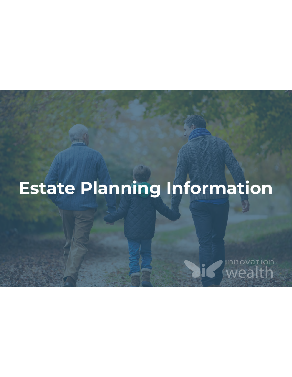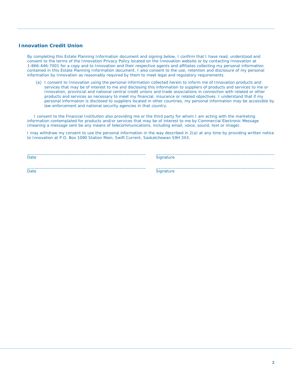#### **Innovation Credit Union**

By completing this Estate Planning Information document and signing below, I confirm that I have read, understood and consent to the terms of the Innovation Privacy Policy located on the Innovation website or by contacting Innovation at 1-866-446-7001 for a copy and to Innovation and their respective agents and affiliates collecting my personal information contained in this Estate Planning Information document. I also consent to the use, retention and disclosure of my personal information by Innovation as reasonably required by them to meet legal and regulatory requirements.

(a) I consent to Innovation using the personal information collected herein to inform me of Innovation products and services that may be of interest to me and disclosing this information to suppliers of products and services to me or Innovation, provincial and national central credit unions and trade associations in connection with related or other products and services as necessary to meet my financial, insurance or related objectives. I understand that if my personal information is disclosed to suppliers located in other countries, my personal information may be accessible by law enforcement and national security agencies in that country.

 I consent to the Financial Institution also providing me or the third party for whom I am acting with the marketing information contemplated for products and/or services that may be of interest to me by Commercial Electronic Message (meaning a message sent be any means of telecommunications, including email, voice, sound, text or image).

I may withdraw my consent to use the personal information in the way described in 2(a) at any time by providing written notice to Innovation at P.O. Box 1090 Station Main, Swift Current, Saskatchewan S9H 3X3.

 $\_$  , and the state of the state of the state of the state of the state of the state of the state of the state of the state of the state of the state of the state of the state of the state of the state of the state of the

 $\_$  , and the state of the state of the state of the state of the state of the state of the state of the state of the state of the state of the state of the state of the state of the state of the state of the state of the

Date Signature Signature

Date Signature Signature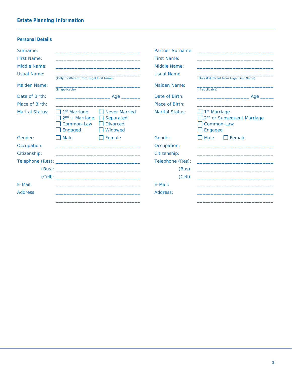|                                                                                                      |                                                                 | Partner Surname:                                                                                                                                                           | the control of the control of the control of the control of the control of the control of the control of the control of the control of the control of the control of the control of the control of the control of the control |
|------------------------------------------------------------------------------------------------------|-----------------------------------------------------------------|----------------------------------------------------------------------------------------------------------------------------------------------------------------------------|-------------------------------------------------------------------------------------------------------------------------------------------------------------------------------------------------------------------------------|
|                                                                                                      |                                                                 | <b>First Name:</b>                                                                                                                                                         |                                                                                                                                                                                                                               |
|                                                                                                      |                                                                 | Middle Name:                                                                                                                                                               |                                                                                                                                                                                                                               |
|                                                                                                      |                                                                 | Usual Name:                                                                                                                                                                | (Only if different from Legal First Name)                                                                                                                                                                                     |
| (If applicable)                                                                                      |                                                                 | Maiden Name:                                                                                                                                                               | (If applicable)                                                                                                                                                                                                               |
|                                                                                                      |                                                                 | Date of Birth:                                                                                                                                                             | Age https://www.facebook.com/<br>the control of the control of the control of                                                                                                                                                 |
|                                                                                                      |                                                                 | Place of Birth:                                                                                                                                                            |                                                                                                                                                                                                                               |
| $\Box$ 1 <sup>st</sup> Marriage<br>$\Box$ 2 <sup>nd</sup> + Marriage<br>Common-Law<br>$\Box$ Engaged | Never Married<br>$\Box$ Separated<br><b>Divorced</b><br>Widowed | Marital Status:                                                                                                                                                            | $\Box$ 1 <sup>st</sup> Marriage<br>2 <sup>nd</sup> or Subsequent Marriage<br>Common-Law<br>$\Box$ Engaged                                                                                                                     |
| $\blacksquare$ Male                                                                                  | $\Box$ Female                                                   | Gender:                                                                                                                                                                    | Male<br>  Female                                                                                                                                                                                                              |
|                                                                                                      |                                                                 | Occupation:                                                                                                                                                                |                                                                                                                                                                                                                               |
|                                                                                                      |                                                                 | Citizenship:                                                                                                                                                               |                                                                                                                                                                                                                               |
|                                                                                                      |                                                                 | Telephone (Res):                                                                                                                                                           |                                                                                                                                                                                                                               |
|                                                                                                      |                                                                 | (Bus):                                                                                                                                                                     |                                                                                                                                                                                                                               |
|                                                                                                      |                                                                 | $(Cell)$ :                                                                                                                                                                 |                                                                                                                                                                                                                               |
|                                                                                                      |                                                                 | F-Mail:                                                                                                                                                                    |                                                                                                                                                                                                                               |
|                                                                                                      |                                                                 | Address:                                                                                                                                                                   |                                                                                                                                                                                                                               |
|                                                                                                      |                                                                 | (Only if different from Legal First Name)<br><u> 1989 - Johann John Stone, mars et al. 1989 - John Stone, mars et al. 1989 - John Stone, mars et al. 1989 - John Stone</u> |                                                                                                                                                                                                                               |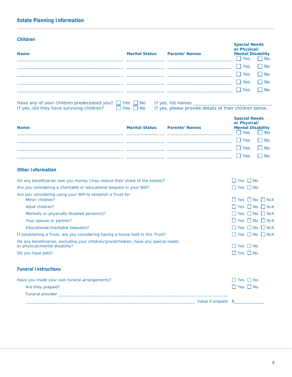| Children                                                                                                              |                       |                                                         | <b>Special Needs</b>                                             |           |
|-----------------------------------------------------------------------------------------------------------------------|-----------------------|---------------------------------------------------------|------------------------------------------------------------------|-----------|
| <b>Name</b>                                                                                                           | <b>Marital Status</b> | <b>Parents' Names</b>                                   | or Physical/<br>Mental Disability<br><b>Yes</b>                  | l I No    |
|                                                                                                                       |                       |                                                         | $\Box$ Yes                                                       | l I No    |
|                                                                                                                       |                       |                                                         | <b>Yes</b>                                                       | l I No    |
|                                                                                                                       |                       |                                                         | Yes                                                              | l I No    |
|                                                                                                                       |                       |                                                         | $\Box$ Yes                                                       | l I No    |
| Have any of your children predeceased you? $\Box$ Yes $\Box$ No                                                       |                       | If yes, list names _                                    |                                                                  |           |
| If yes, did they have surviving children?                                                                             | Yes<br><b>No</b>      | If yes, please provide details of their children below. |                                                                  |           |
| Name                                                                                                                  | <b>Marital Status</b> | <b>Parents' Names</b>                                   | <b>Special Needs</b><br>or Physical/<br><b>Mental Disability</b> |           |
|                                                                                                                       |                       |                                                         | <b>Yes</b>                                                       | $\Box$ No |
|                                                                                                                       |                       |                                                         | $\sqsupset$ Yes                                                  | l I No    |
|                                                                                                                       |                       |                                                         | $\Box$ Yes                                                       | $\Box$ No |
|                                                                                                                       |                       |                                                         | - 1<br>Yes                                                       | l I No    |
| Other Information                                                                                                     |                       |                                                         |                                                                  |           |
| Do any beneficiaries owe you money (may reduce their share of the estate)?                                            |                       |                                                         | $\Box$ Yes $\Box$ No                                             |           |
| Are you considering a charitable or educational bequest in your Will?                                                 |                       |                                                         | $\Box$ Yes $\Box$ No                                             |           |
| Are you considering using your Will to establish a Trust for:<br>Minor children?                                      |                       |                                                         | $\Box$ Yes $\Box$ No $\Box$ N/A                                  |           |
| Adult children?                                                                                                       |                       |                                                         | $\Box$ Yes $\Box$ No $\Box$ N/A                                  |           |
| Mentally or physically disabled person(s)?                                                                            |                       |                                                         | $\Box$ Yes $\Box$ No $\Box$ N/A                                  |           |
| Your spouse or partner?                                                                                               |                       |                                                         | $\Box$ Yes $\Box$ No $\Box$ N/A                                  |           |
| Educational/charitable bequests?                                                                                      |                       |                                                         | $\Box$ Yes $\Box$ No $\Box$ N/A                                  |           |
| If establishing a Trust, are you considering having a house held in this Trust?                                       |                       |                                                         | $\Box$ Yes $\Box$ No $\Box$ N/A                                  |           |
| Do any beneficiaries, excluding your children/grandchildren, have any special needs<br>or physical/mental disability? |                       |                                                         | $\Box$ Yes $\Box$ No                                             |           |
| Do you have pets?                                                                                                     |                       |                                                         | $\Box$ Yes $\Box$ No                                             |           |
| <b>Funeral Instructions</b>                                                                                           |                       |                                                         |                                                                  |           |
| Have you made your own funeral arrangements?                                                                          |                       |                                                         | $\Box$ Yes $\Box$ No                                             |           |
| Are they prepaid?                                                                                                     |                       |                                                         | $\Box$ Yes $\Box$ No                                             |           |
|                                                                                                                       |                       |                                                         |                                                                  |           |
|                                                                                                                       |                       |                                                         |                                                                  |           |
|                                                                                                                       |                       |                                                         |                                                                  |           |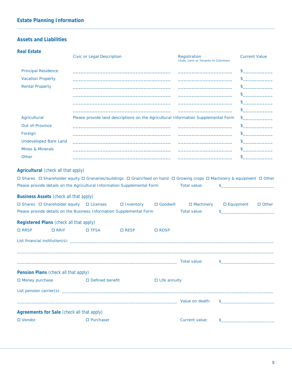#### **Assets and Liabilities**

| <b>Real Estate</b>                                                                                                                                                                                                                     | Civic or Legal Description                                                         |                                                                                                                       |                                   | Registration<br>(Sole, Joint or Tenants-in-Common)                                                                                                                                                                                   |                  | <b>Current Value</b> |                                                                                                                                                                                                                                                                                                                                                     |
|----------------------------------------------------------------------------------------------------------------------------------------------------------------------------------------------------------------------------------------|------------------------------------------------------------------------------------|-----------------------------------------------------------------------------------------------------------------------|-----------------------------------|--------------------------------------------------------------------------------------------------------------------------------------------------------------------------------------------------------------------------------------|------------------|----------------------|-----------------------------------------------------------------------------------------------------------------------------------------------------------------------------------------------------------------------------------------------------------------------------------------------------------------------------------------------------|
| Principal Residence                                                                                                                                                                                                                    |                                                                                    | <u> 1989 - Andrea Andrea Andrea Andrea Andrea Andrea Andrea Andrea Andrea Andrea Andrea Andrea Andrea Andrea Andr</u> |                                   |                                                                                                                                                                                                                                      |                  | $\mathbb S^-$        |                                                                                                                                                                                                                                                                                                                                                     |
| <b>Vacation Property</b>                                                                                                                                                                                                               |                                                                                    | the control of the control of the control of the control of the control of the control of                             |                                   | <u> 1989 - Johann Harry Harry Harry Harry Harry Harry Harry Harry Harry Harry Harry Harry Harry Harry Harry Harry</u>                                                                                                                |                  |                      |                                                                                                                                                                                                                                                                                                                                                     |
| <b>Rental Property</b>                                                                                                                                                                                                                 |                                                                                    | the control of the control of the control of the control of the control of the control of                             |                                   |                                                                                                                                                                                                                                      |                  |                      | $\sim$                                                                                                                                                                                                                                                                                                                                              |
|                                                                                                                                                                                                                                        |                                                                                    | the control of the control of the control of the control of the control of the control of                             |                                   | the control of the control of the control of the control of                                                                                                                                                                          |                  |                      | <b>Contract Contract Contract</b>                                                                                                                                                                                                                                                                                                                   |
|                                                                                                                                                                                                                                        |                                                                                    | the control of the control of the control of the control of the control of the control of                             |                                   | the control of the control of the control of the control of the control of                                                                                                                                                           |                  |                      | $\begin{picture}(20,20) \put(0,0){\line(1,0){100}} \put(15,0){\line(1,0){100}} \put(15,0){\line(1,0){100}} \put(15,0){\line(1,0){100}} \put(15,0){\line(1,0){100}} \put(15,0){\line(1,0){100}} \put(15,0){\line(1,0){100}} \put(15,0){\line(1,0){100}} \put(15,0){\line(1,0){100}} \put(15,0){\line(1,0){100}} \put(15,0){\line(1,0){100}} \$       |
|                                                                                                                                                                                                                                        |                                                                                    |                                                                                                                       |                                   | <u> 1989 - Andrea Santa Alemania, amerikana amerikana amerikana amerikana amerikana amerikana amerikana amerikan</u>                                                                                                                 |                  |                      | $\begin{picture}(20,20) \put(0,0){\line(1,0){100}} \put(15,0){\line(1,0){100}} \put(15,0){\line(1,0){100}} \put(15,0){\line(1,0){100}} \put(15,0){\line(1,0){100}} \put(15,0){\line(1,0){100}} \put(15,0){\line(1,0){100}} \put(15,0){\line(1,0){100}} \put(15,0){\line(1,0){100}} \put(15,0){\line(1,0){100}} \put(15,0){\line(1,0){100}} \$       |
| Agricultural                                                                                                                                                                                                                           | Please provide land descriptions on the Agricultural Information Supplemental Form |                                                                                                                       |                                   |                                                                                                                                                                                                                                      |                  |                      | $\begin{picture}(20,20) \put(0,0){\line(1,0){10}} \put(15,0){\line(1,0){10}} \put(15,0){\line(1,0){10}} \put(15,0){\line(1,0){10}} \put(15,0){\line(1,0){10}} \put(15,0){\line(1,0){10}} \put(15,0){\line(1,0){10}} \put(15,0){\line(1,0){10}} \put(15,0){\line(1,0){10}} \put(15,0){\line(1,0){10}} \put(15,0){\line(1,0){10}} \put(15,0){\line(1$ |
| Out-of-Province                                                                                                                                                                                                                        |                                                                                    |                                                                                                                       |                                   | <u> 1989 - Johann John Stoff, deutscher Stoffen und der Stoffen und der Stoffen und der Stoffen und der Stoffen u</u>                                                                                                                |                  |                      | $\begin{picture}(20,20) \put(0,0){\line(1,0){100}} \put(15,0){\line(1,0){100}} \put(15,0){\line(1,0){100}} \put(15,0){\line(1,0){100}} \put(15,0){\line(1,0){100}} \put(15,0){\line(1,0){100}} \put(15,0){\line(1,0){100}} \put(15,0){\line(1,0){100}} \put(15,0){\line(1,0){100}} \put(15,0){\line(1,0){100}} \put(15,0){\line(1,0){100}} \$       |
| Foreign                                                                                                                                                                                                                                |                                                                                    | <u> 1989 - Johann John Stone, mars et al. (</u>                                                                       |                                   |                                                                                                                                                                                                                                      |                  |                      | $\begin{picture}(20,20) \put(0,0){\line(1,0){100}} \put(15,0){\line(1,0){100}} \put(15,0){\line(1,0){100}} \put(15,0){\line(1,0){100}} \put(15,0){\line(1,0){100}} \put(15,0){\line(1,0){100}} \put(15,0){\line(1,0){100}} \put(15,0){\line(1,0){100}} \put(15,0){\line(1,0){100}} \put(15,0){\line(1,0){100}} \put(15,0){\line(1,0){100}} \$       |
| <b>Undeveloped Bare Land</b>                                                                                                                                                                                                           |                                                                                    |                                                                                                                       |                                   | <u> 1980 - Andrea Santa Alemania, amerikana amerikana amerikana amerikana amerikana amerikana amerikana amerikan</u>                                                                                                                 |                  |                      | $\begin{picture}(20,20) \put(0,0){\line(1,0){100}} \put(15,0){\line(1,0){100}} \put(15,0){\line(1,0){100}} \put(15,0){\line(1,0){100}} \put(15,0){\line(1,0){100}} \put(15,0){\line(1,0){100}} \put(15,0){\line(1,0){100}} \put(15,0){\line(1,0){100}} \put(15,0){\line(1,0){100}} \put(15,0){\line(1,0){100}} \put(15,0){\line(1,0){100}} \$       |
| Mines & Minerals                                                                                                                                                                                                                       |                                                                                    |                                                                                                                       |                                   | <u> 1989 - Johann Harry Harry Harry Harry Harry Harry Harry Harry Harry Harry Harry Harry Harry Harry Harry Harry</u>                                                                                                                |                  |                      | $\begin{picture}(20,20) \put(0,0){\line(1,0){100}} \put(15,0){\line(1,0){100}} \put(15,0){\line(1,0){100}} \put(15,0){\line(1,0){100}} \put(15,0){\line(1,0){100}} \put(15,0){\line(1,0){100}} \put(15,0){\line(1,0){100}} \put(15,0){\line(1,0){100}} \put(15,0){\line(1,0){100}} \put(15,0){\line(1,0){100}} \put(15,0){\line(1,0){100}} \$       |
| Other                                                                                                                                                                                                                                  |                                                                                    | <u> 1989 - Andrea Stadt Britain, amerikansk politik (* 1958)</u>                                                      |                                   | <u> 1989 - Johann John Harry Harry Harry Harry Harry Harry Harry Harry Harry Harry Harry Harry Harry Harry Harry Harry Harry Harry Harry Harry Harry Harry Harry Harry Harry Harry Harry Harry Harry Harry Harry Harry Harry Har</u> |                  |                      | $\begin{picture}(20,20) \put(0,0){\line(1,0){10}} \put(15,0){\line(1,0){10}} \put(15,0){\line(1,0){10}} \put(15,0){\line(1,0){10}} \put(15,0){\line(1,0){10}} \put(15,0){\line(1,0){10}} \put(15,0){\line(1,0){10}} \put(15,0){\line(1,0){10}} \put(15,0){\line(1,0){10}} \put(15,0){\line(1,0){10}} \put(15,0){\line(1,0){10}} \put(15,0){\line(1$ |
| Business Assets (check all that apply)<br>□ Shares □ Shareholder equity □ Licenses<br>Please provide details on the Business Information Supplemental Form<br>Registered Plans (check all that apply)<br>$\square$ RRSP<br>$\Box$ RRIF | $\square$ TFSA                                                                     | $\Box$ Inventory<br>$\square$ RESP                                                                                    | $\Box$ Goodwill<br>$\square$ RDSP | $\Box$ Machinery<br>Total value:                                                                                                                                                                                                     | $\Box$ Equipment |                      | $\Box$ Other                                                                                                                                                                                                                                                                                                                                        |
|                                                                                                                                                                                                                                        |                                                                                    |                                                                                                                       |                                   |                                                                                                                                                                                                                                      |                  |                      |                                                                                                                                                                                                                                                                                                                                                     |
|                                                                                                                                                                                                                                        |                                                                                    |                                                                                                                       |                                   | Total value:                                                                                                                                                                                                                         | \$               |                      |                                                                                                                                                                                                                                                                                                                                                     |
| Pension Plans (check all that apply)                                                                                                                                                                                                   |                                                                                    |                                                                                                                       |                                   |                                                                                                                                                                                                                                      |                  |                      |                                                                                                                                                                                                                                                                                                                                                     |
| Money purchase                                                                                                                                                                                                                         | □ Defined benefit                                                                  |                                                                                                                       | $\Box$ Life annuity               |                                                                                                                                                                                                                                      |                  |                      |                                                                                                                                                                                                                                                                                                                                                     |
|                                                                                                                                                                                                                                        |                                                                                    |                                                                                                                       |                                   |                                                                                                                                                                                                                                      |                  |                      |                                                                                                                                                                                                                                                                                                                                                     |
|                                                                                                                                                                                                                                        |                                                                                    |                                                                                                                       |                                   |                                                                                                                                                                                                                                      |                  |                      |                                                                                                                                                                                                                                                                                                                                                     |
|                                                                                                                                                                                                                                        |                                                                                    |                                                                                                                       |                                   |                                                                                                                                                                                                                                      |                  |                      |                                                                                                                                                                                                                                                                                                                                                     |
| Agreements for Sale (check all that apply)<br>□ Vendor                                                                                                                                                                                 | $\Box$ Purchaser                                                                   |                                                                                                                       |                                   | Current value:                                                                                                                                                                                                                       |                  |                      |                                                                                                                                                                                                                                                                                                                                                     |
|                                                                                                                                                                                                                                        |                                                                                    |                                                                                                                       |                                   |                                                                                                                                                                                                                                      |                  |                      |                                                                                                                                                                                                                                                                                                                                                     |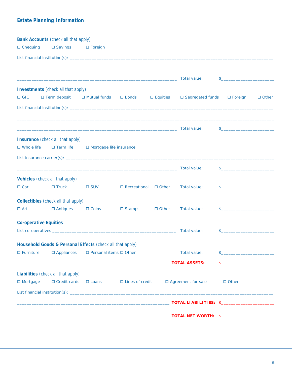|                       | Bank Accounts (check all that apply)                                                                                   |                                       |                                  |                 |                              |               |              |
|-----------------------|------------------------------------------------------------------------------------------------------------------------|---------------------------------------|----------------------------------|-----------------|------------------------------|---------------|--------------|
| $\Box$ Chequing       | □ Savings                                                                                                              | $\Box$ Foreign                        |                                  |                 |                              |               |              |
|                       |                                                                                                                        |                                       |                                  |                 |                              |               |              |
|                       | <u> 1989 - Johann John Stoff, deutscher Stoffen und der Stoffen und der Stoffen und der Stoffen und der Stoffen un</u> |                                       |                                  |                 | Total value:                 |               |              |
|                       | Investments (check all that apply)                                                                                     |                                       |                                  |                 |                              |               |              |
| $\Box$ GIC            | $\Box$ Term deposit $\Box$ Mutual funds $\Box$ Bonds                                                                   |                                       |                                  | $\Box$ Equities | □ Segregated funds □ Foreign |               | $\Box$ Other |
|                       |                                                                                                                        |                                       |                                  |                 |                              |               |              |
|                       |                                                                                                                        |                                       |                                  |                 |                              | $\frac{1}{2}$ |              |
|                       | Insurance (check all that apply)                                                                                       |                                       |                                  |                 |                              |               |              |
| $\Box$ Whole life     |                                                                                                                        | □ Term life □ Mortgage life insurance |                                  |                 |                              |               |              |
|                       |                                                                                                                        |                                       |                                  |                 |                              |               |              |
|                       |                                                                                                                        |                                       |                                  |                 |                              | $\frac{1}{2}$ |              |
|                       | Vehicles (check all that apply)                                                                                        |                                       |                                  |                 |                              |               |              |
| $\Box$ Car            | $\Box$ Truck                                                                                                           | $\square$ SUV                         | $\Box$ Recreational $\Box$ Other |                 | Total value:                 | $\sim$        |              |
|                       | Collectibles (check all that apply)                                                                                    |                                       |                                  |                 |                              |               |              |
| $\Box$ Art            | $\Box$ Antiques                                                                                                        | $\Box$ Coins                          | □ Stamps                         | $\Box$ Other    | Total value:                 |               |              |
|                       |                                                                                                                        |                                       |                                  |                 |                              |               |              |
| Co-operative Equities |                                                                                                                        |                                       |                                  |                 | Total value:                 |               |              |
|                       |                                                                                                                        |                                       |                                  |                 |                              |               |              |
|                       | Household Goods & Personal Effects (check all that apply)                                                              |                                       |                                  |                 |                              |               |              |
| $\Box$ Furniture      | $\Box$ Appliances                                                                                                      | □ Personal items □ Other              |                                  |                 | Total value:                 |               |              |
|                       |                                                                                                                        |                                       |                                  |                 | <b>TOTAL ASSETS:</b>         |               |              |
|                       | Liabilities (check all that apply)                                                                                     |                                       |                                  |                 |                              |               |              |
| $\Box$ Mortgage       | $\Box$ Credit cards $\Box$ Loans                                                                                       |                                       | $\Box$ Lines of credit           |                 | □ Agreement for sale         | $\Box$ Other  |              |
|                       |                                                                                                                        |                                       |                                  |                 |                              |               |              |
|                       |                                                                                                                        |                                       |                                  |                 | TOTAL LIABILITIES: \$        |               |              |
|                       |                                                                                                                        |                                       |                                  |                 | TOTAL NET WORTH: \$          |               |              |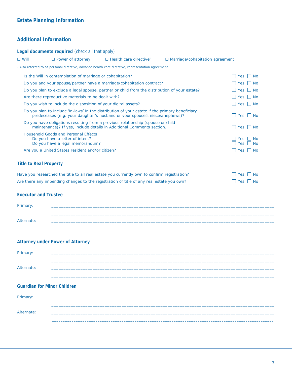### **Additional Information**

| $\Box$ Will<br>$\Box$ Power of attorney<br>$\Box$ Health care directive <sup>*</sup><br>$\Box$ Marriage/cohabitation agreement                                                |                                    |
|-------------------------------------------------------------------------------------------------------------------------------------------------------------------------------|------------------------------------|
|                                                                                                                                                                               |                                    |
| * Also referred to as personal directive, advance health care directive, representation agreement                                                                             |                                    |
| Is the Will in contemplation of marriage or cohabitation?                                                                                                                     | $\Box$ Yes $\Box$ No               |
| Do you and your spouse/partner have a marriage/cohabitation contract?                                                                                                         | $\Box$ Yes $\Box$ No               |
| Do you plan to exclude a legal spouse, partner or child from the distribution of your estate?                                                                                 | $\Box$ Yes $\Box$ No               |
| Are there reproductive materials to be dealt with?                                                                                                                            | $\Box$ Yes $\Box$ No               |
| Do you wish to include the disposition of your digital assets?                                                                                                                | $\Box$ Yes $\Box$ No               |
| Do you plan to include 'in-laws' in the distribution of your estate if the primary beneficiary<br>predeceases (e.g. your daughter's husband or your spouse's nieces/nephews)? | $\Box$ Yes $\Box$ No               |
| Do you have obligations resulting from a previous relationship (spouse or child<br>maintenance)? If yes, include details in Additional Comments section.                      | $\Box$ Yes $\Box$ No               |
| <b>Household Goods and Personal Effects</b>                                                                                                                                   |                                    |
| Do you have a letter of intent?<br>Do you have a legal memorandum?                                                                                                            | $\Box$ Yes $\Box$ No<br>I Yes I No |
| Are you a United States resident and/or citizen?                                                                                                                              | $\Box$ Yes $\Box$ No               |
| <b>Title to Real Property</b>                                                                                                                                                 |                                    |
| Have you researched the title to all real estate you currently own to confirm registration?                                                                                   | $\Box$ Yes $\Box$ No               |
| Are there any impending changes to the registration of title of any real estate you own?                                                                                      | $\Box$ Yes $\Box$ No               |
|                                                                                                                                                                               |                                    |
| <b>Executor and Trustee</b>                                                                                                                                                   |                                    |
| Primary:                                                                                                                                                                      |                                    |
|                                                                                                                                                                               |                                    |
| Alternate:                                                                                                                                                                    |                                    |
|                                                                                                                                                                               |                                    |
|                                                                                                                                                                               |                                    |
| Attorney under Power of Attorney                                                                                                                                              |                                    |
| Primary:                                                                                                                                                                      |                                    |
|                                                                                                                                                                               |                                    |
| Alternate:                                                                                                                                                                    |                                    |
|                                                                                                                                                                               |                                    |
| Guardian for Minor Children                                                                                                                                                   |                                    |
| Primary:                                                                                                                                                                      |                                    |
|                                                                                                                                                                               |                                    |
|                                                                                                                                                                               |                                    |
| Alternate:                                                                                                                                                                    |                                    |